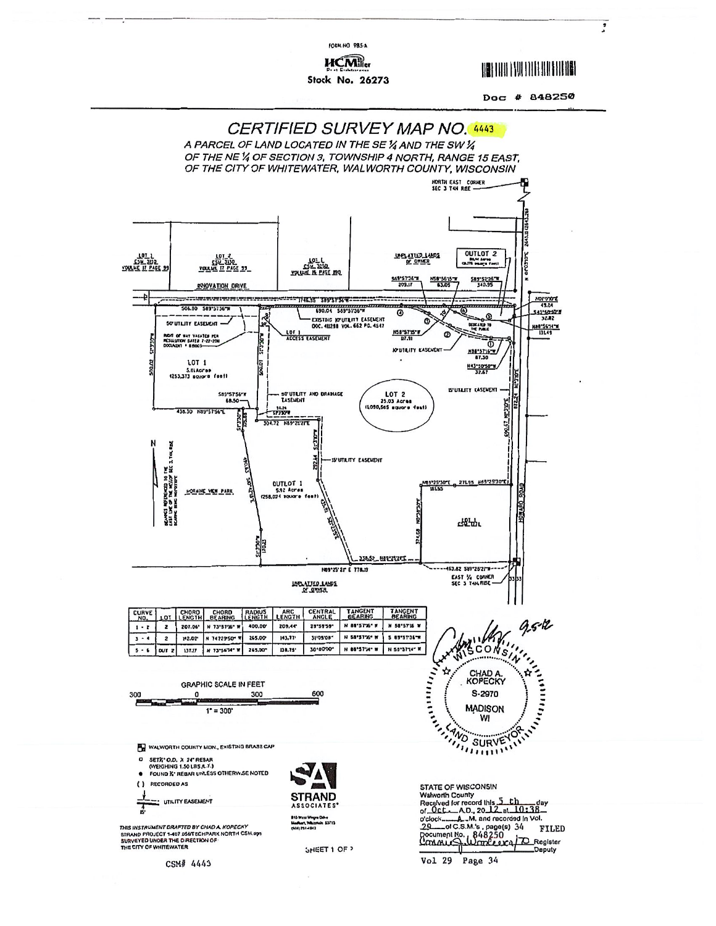**HCM** Stock No. 26273

FORM NO 985-A

**UBB THU FINLINI HIT BILLIEN** 

Doc # 848250

 $\overline{\cdot}$ 



Vol 29 Page 34